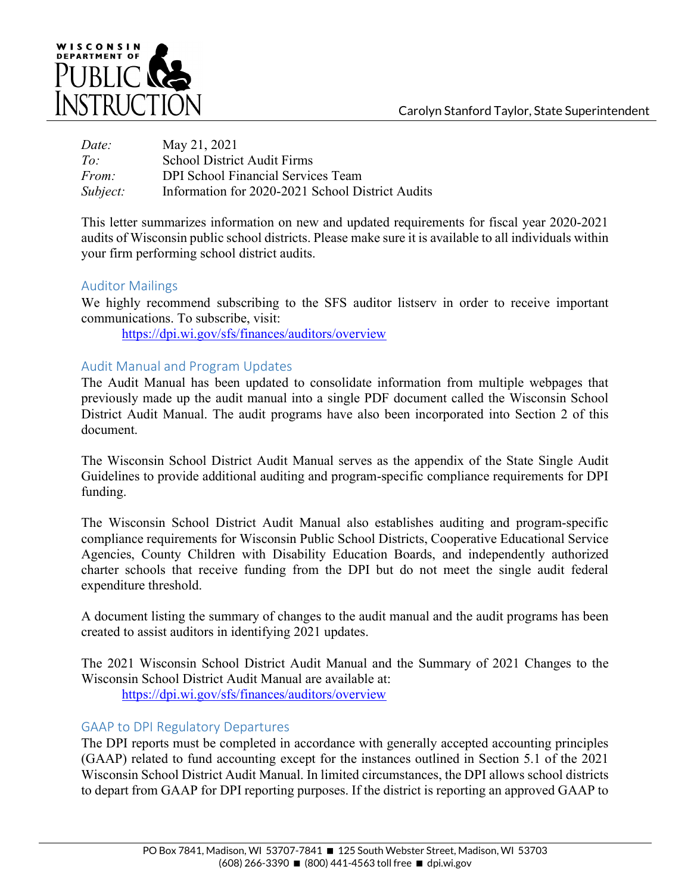

| Date:    | May 21, 2021                                     |
|----------|--------------------------------------------------|
| To:      | <b>School District Audit Firms</b>               |
| From:    | <b>DPI School Financial Services Team</b>        |
| Subject: | Information for 2020-2021 School District Audits |

This letter summarizes information on new and updated requirements for fiscal year 2020-2021 audits of Wisconsin public school districts. Please make sure it is available to all individuals within your firm performing school district audits.

# Auditor Mailings

We highly recommend subscribing to the SFS auditor listserv in order to receive important communications. To subscribe, visit:

https://dpi.wi.gov/sfs/finances/auditors/overview

# Audit Manual and Program Updates

The Audit Manual has been updated to consolidate information from multiple webpages that previously made up the audit manual into a single PDF document called the Wisconsin School District Audit Manual. The audit programs have also been incorporated into Section 2 of this document.

The Wisconsin School District Audit Manual serves as the appendix of the State Single Audit Guidelines to provide additional auditing and program-specific compliance requirements for DPI funding.

The Wisconsin School District Audit Manual also establishes auditing and program-specific compliance requirements for Wisconsin Public School Districts, Cooperative Educational Service Agencies, County Children with Disability Education Boards, and independently authorized charter schools that receive funding from the DPI but do not meet the single audit federal expenditure threshold.

A document listing the summary of changes to the audit manual and the audit programs has been created to assist auditors in identifying 2021 updates.

The 2021 Wisconsin School District Audit Manual and the Summary of 2021 Changes to the Wisconsin School District Audit Manual are available at: https://dpi.wi.gov/sfs/finances/auditors/overview

# GAAP to DPI Regulatory Departures

The DPI reports must be completed in accordance with generally accepted accounting principles (GAAP) related to fund accounting except for the instances outlined in Section 5.1 of the 2021 Wisconsin School District Audit Manual. In limited circumstances, the DPI allows school districts to depart from GAAP for DPI reporting purposes. If the district is reporting an approved GAAP to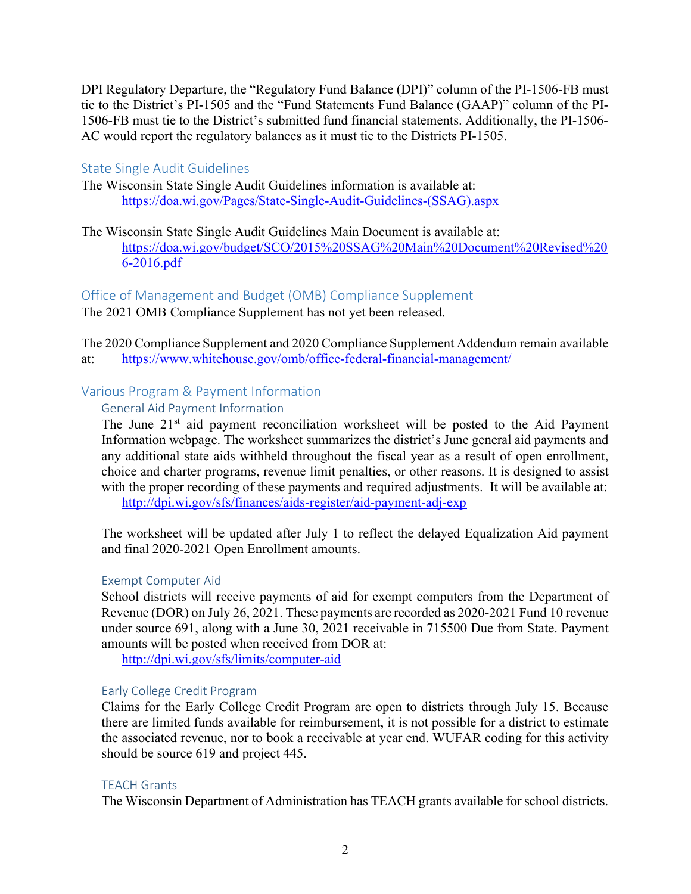DPI Regulatory Departure, the "Regulatory Fund Balance (DPI)" column of the PI-1506-FB must tie to the District's PI-1505 and the "Fund Statements Fund Balance (GAAP)" column of the PI-1506-FB must tie to the District's submitted fund financial statements. Additionally, the PI-1506- AC would report the regulatory balances as it must tie to the Districts PI-1505.

### State Single Audit Guidelines

The Wisconsin State Single Audit Guidelines information is available at: https://doa.wi.gov/Pages/State-Single-Audit-Guidelines-(SSAG).aspx

The Wisconsin State Single Audit Guidelines Main Document is available at: https://doa.wi.gov/budget/SCO/2015%20SSAG%20Main%20Document%20Revised%20 6-2016.pdf

Office of Management and Budget (OMB) Compliance Supplement

The 2021 OMB Compliance Supplement has not yet been released.

The 2020 Compliance Supplement and 2020 Compliance Supplement Addendum remain available at: https://www.whitehouse.gov/omb/office-federal-financial-management/

# Various Program & Payment Information

### General Aid Payment Information

The June  $21<sup>st</sup>$  aid payment reconciliation worksheet will be posted to the Aid Payment Information webpage. The worksheet summarizes the district's June general aid payments and any additional state aids withheld throughout the fiscal year as a result of open enrollment, choice and charter programs, revenue limit penalties, or other reasons. It is designed to assist with the proper recording of these payments and required adjustments. It will be available at: http://dpi.wi.gov/sfs/finances/aids-register/aid-payment-adj-exp

The worksheet will be updated after July 1 to reflect the delayed Equalization Aid payment and final 2020-2021 Open Enrollment amounts.

### Exempt Computer Aid

School districts will receive payments of aid for exempt computers from the Department of Revenue (DOR) on July 26, 2021. These payments are recorded as 2020-2021 Fund 10 revenue under source 691, along with a June 30, 2021 receivable in 715500 Due from State. Payment amounts will be posted when received from DOR at:

http://dpi.wi.gov/sfs/limits/computer-aid

### Early College Credit Program

Claims for the Early College Credit Program are open to districts through July 15. Because there are limited funds available for reimbursement, it is not possible for a district to estimate the associated revenue, nor to book a receivable at year end. WUFAR coding for this activity should be source 619 and project 445.

### TEACH Grants

The Wisconsin Department of Administration has TEACH grants available for school districts.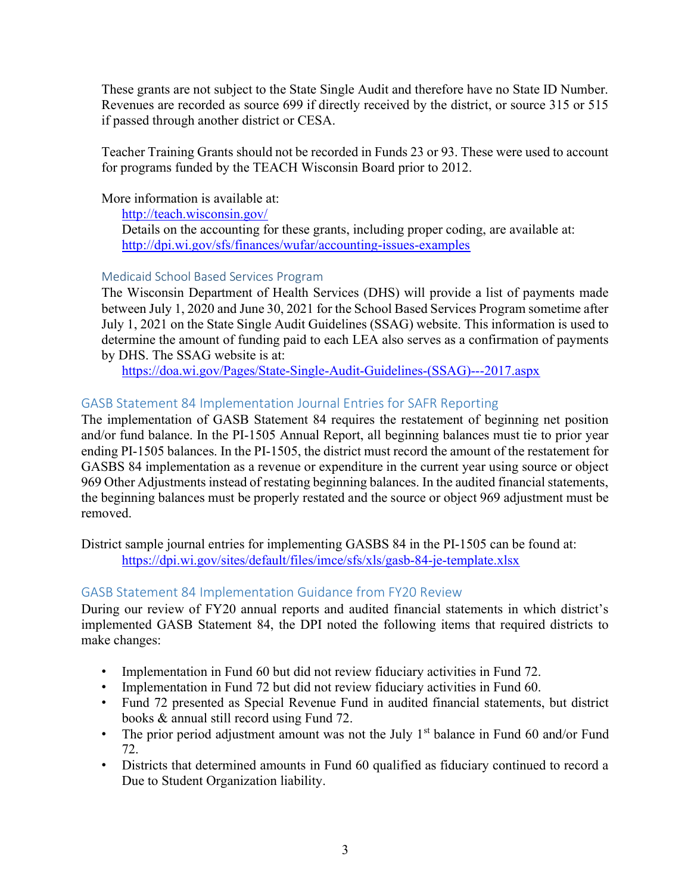These grants are not subject to the State Single Audit and therefore have no State ID Number. Revenues are recorded as source 699 if directly received by the district, or source 315 or 515 if passed through another district or CESA.

Teacher Training Grants should not be recorded in Funds 23 or 93. These were used to account for programs funded by the TEACH Wisconsin Board prior to 2012.

More information is available at:

http://teach.wisconsin.gov/

Details on the accounting for these grants, including proper coding, are available at: http://dpi.wi.gov/sfs/finances/wufar/accounting-issues-examples

# Medicaid School Based Services Program

The Wisconsin Department of Health Services (DHS) will provide a list of payments made between July 1, 2020 and June 30, 2021 for the School Based Services Program sometime after July 1, 2021 on the State Single Audit Guidelines (SSAG) website. This information is used to determine the amount of funding paid to each LEA also serves as a confirmation of payments by DHS. The SSAG website is at:

https://doa.wi.gov/Pages/State-Single-Audit-Guidelines-(SSAG)---2017.aspx

# GASB Statement 84 Implementation Journal Entries for SAFR Reporting

The implementation of GASB Statement 84 requires the restatement of beginning net position and/or fund balance. In the PI-1505 Annual Report, all beginning balances must tie to prior year ending PI-1505 balances. In the PI-1505, the district must record the amount of the restatement for GASBS 84 implementation as a revenue or expenditure in the current year using source or object 969 Other Adjustments instead of restating beginning balances. In the audited financial statements, the beginning balances must be properly restated and the source or object 969 adjustment must be removed.

District sample journal entries for implementing GASBS 84 in the PI-1505 can be found at: https://dpi.wi.gov/sites/default/files/imce/sfs/xls/gasb-84-je-template.xlsx

# GASB Statement 84 Implementation Guidance from FY20 Review

During our review of FY20 annual reports and audited financial statements in which district's implemented GASB Statement 84, the DPI noted the following items that required districts to make changes:

- Implementation in Fund 60 but did not review fiduciary activities in Fund 72.
- Implementation in Fund 72 but did not review fiduciary activities in Fund 60.
- Fund 72 presented as Special Revenue Fund in audited financial statements, but district books & annual still record using Fund 72.
- The prior period adjustment amount was not the July  $1<sup>st</sup>$  balance in Fund 60 and/or Fund 72.
- Districts that determined amounts in Fund 60 qualified as fiduciary continued to record a Due to Student Organization liability.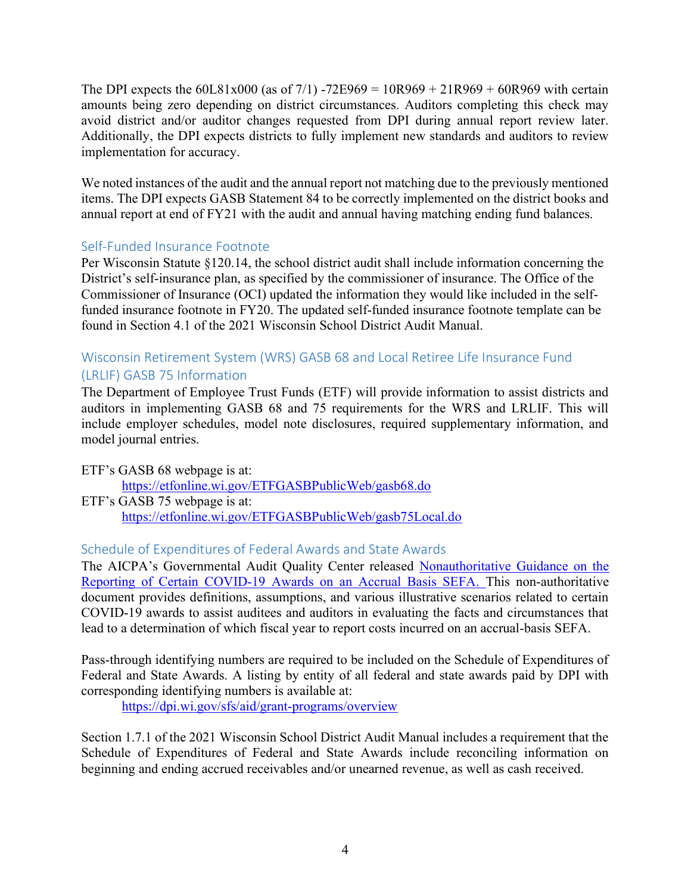The DPI expects the  $60L81x000$  (as of  $7/1$ ) -72E969 = 10R969 + 21R969 + 60R969 with certain amounts being zero depending on district circumstances. Auditors completing this check may avoid district and/or auditor changes requested from DPI during annual report review later. Additionally, the DPI expects districts to fully implement new standards and auditors to review implementation for accuracy.

We noted instances of the audit and the annual report not matching due to the previously mentioned items. The DPI expects GASB Statement 84 to be correctly implemented on the district books and annual report at end of FY21 with the audit and annual having matching ending fund balances.

# Self-Funded Insurance Footnote

Per Wisconsin Statute §120.14, the school district audit shall include information concerning the District's self-insurance plan, as specified by the commissioner of insurance. The Office of the Commissioner of Insurance (OCI) updated the information they would like included in the selffunded insurance footnote in FY20. The updated self-funded insurance footnote template can be found in Section 4.1 of the 2021 Wisconsin School District Audit Manual.

# Wisconsin Retirement System (WRS) GASB 68 and Local Retiree Life Insurance Fund (LRLIF) GASB 75 Information

The Department of Employee Trust Funds (ETF) will provide information to assist districts and auditors in implementing GASB 68 and 75 requirements for the WRS and LRLIF. This will include employer schedules, model note disclosures, required supplementary information, and model journal entries.

ETF's GASB 68 webpage is at:

https://etfonline.wi.gov/ETFGASBPublicWeb/gasb68.do ETF's GASB 75 webpage is at: https://etfonline.wi.gov/ETFGASBPublicWeb/gasb75Local.do

# Schedule of Expenditures of Federal Awards and State Awards

The AICPA's Governmental Audit Quality Center released Nonauthoritative Guidance on the Reporting of Certain COVID-19 Awards on an Accrual Basis SEFA. This non-authoritative document provides definitions, assumptions, and various illustrative scenarios related to certain COVID-19 awards to assist auditees and auditors in evaluating the facts and circumstances that lead to a determination of which fiscal year to report costs incurred on an accrual-basis SEFA.

Pass-through identifying numbers are required to be included on the Schedule of Expenditures of Federal and State Awards. A listing by entity of all federal and state awards paid by DPI with corresponding identifying numbers is available at:

https://dpi.wi.gov/sfs/aid/grant-programs/overview

Section 1.7.1 of the 2021 Wisconsin School District Audit Manual includes a requirement that the Schedule of Expenditures of Federal and State Awards include reconciling information on beginning and ending accrued receivables and/or unearned revenue, as well as cash received.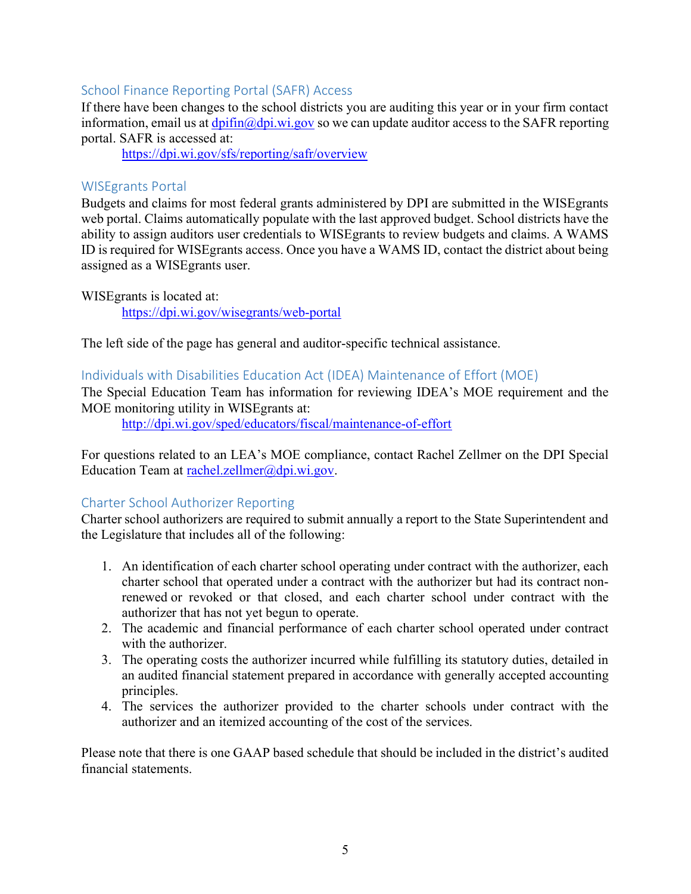### School Finance Reporting Portal (SAFR) Access

If there have been changes to the school districts you are auditing this year or in your firm contact information, email us at  $dpi$ in $@dpi.wi.gov$  so we can update auditor access to the SAFR reporting portal. SAFR is accessed at:

https://dpi.wi.gov/sfs/reporting/safr/overview

### WISEgrants Portal

Budgets and claims for most federal grants administered by DPI are submitted in the WISEgrants web portal. Claims automatically populate with the last approved budget. School districts have the ability to assign auditors user credentials to WISEgrants to review budgets and claims. A WAMS ID is required for WISEgrants access. Once you have a WAMS ID, contact the district about being assigned as a WISEgrants user.

WISEgrants is located at:

https://dpi.wi.gov/wisegrants/web-portal

The left side of the page has general and auditor-specific technical assistance.

### Individuals with Disabilities Education Act (IDEA) Maintenance of Effort (MOE)

The Special Education Team has information for reviewing IDEA's MOE requirement and the MOE monitoring utility in WISEgrants at:

http://dpi.wi.gov/sped/educators/fiscal/maintenance-of-effort

For questions related to an LEA's MOE compliance, contact Rachel Zellmer on the DPI Special Education Team at rachel.zellmer@dpi.wi.gov.

# Charter School Authorizer Reporting

Charter school authorizers are required to submit annually a report to the State Superintendent and the Legislature that includes all of the following:

- 1. An identification of each charter school operating under contract with the authorizer, each charter school that operated under a contract with the authorizer but had its contract nonrenewed or revoked or that closed, and each charter school under contract with the authorizer that has not yet begun to operate.
- 2. The academic and financial performance of each charter school operated under contract with the authorizer.
- 3. The operating costs the authorizer incurred while fulfilling its statutory duties, detailed in an audited financial statement prepared in accordance with generally accepted accounting principles.
- 4. The services the authorizer provided to the charter schools under contract with the authorizer and an itemized accounting of the cost of the services.

Please note that there is one GAAP based schedule that should be included in the district's audited financial statements.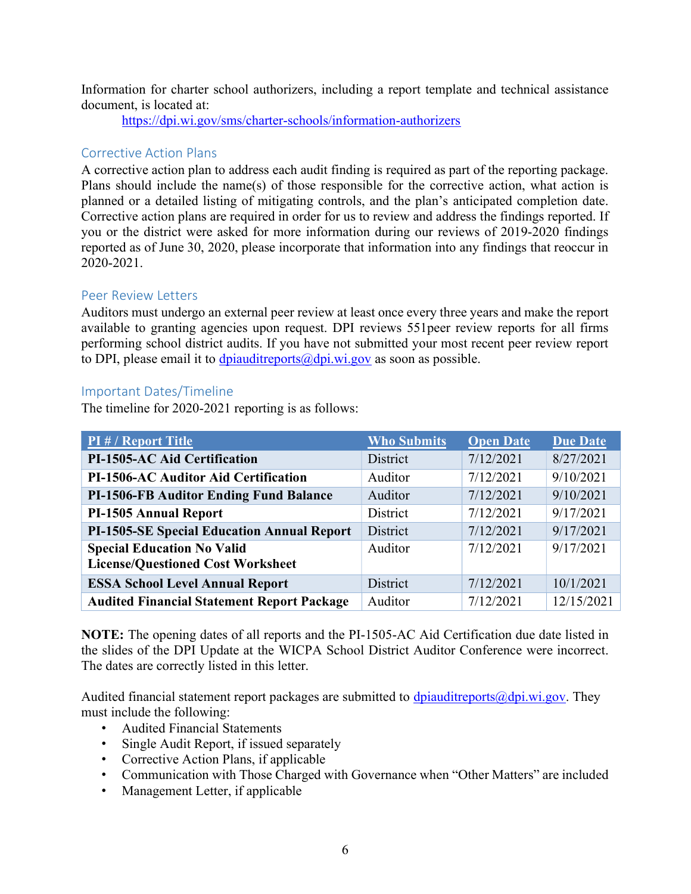Information for charter school authorizers, including a report template and technical assistance document, is located at:

https://dpi.wi.gov/sms/charter-schools/information-authorizers

# Corrective Action Plans

A corrective action plan to address each audit finding is required as part of the reporting package. Plans should include the name(s) of those responsible for the corrective action, what action is planned or a detailed listing of mitigating controls, and the plan's anticipated completion date. Corrective action plans are required in order for us to review and address the findings reported. If you or the district were asked for more information during our reviews of 2019-2020 findings reported as of June 30, 2020, please incorporate that information into any findings that reoccur in 2020-2021.

### Peer Review Letters

Auditors must undergo an external peer review at least once every three years and make the report available to granting agencies upon request. DPI reviews 551 peer review reports for all firms performing school district audits. If you have not submitted your most recent peer review report to DPI, please email it to dpiauditreports  $\omega$ dpi.wi.gov as soon as possible.

### Important Dates/Timeline

The timeline for 2020-2021 reporting is as follows:

| PI#/Report Title                                  | <b>Who Submits</b> | <b>Open Date</b> | <b>Due Date</b> |
|---------------------------------------------------|--------------------|------------------|-----------------|
| PI-1505-AC Aid Certification                      | <b>District</b>    | 7/12/2021        | 8/27/2021       |
| <b>PI-1506-AC Auditor Aid Certification</b>       | Auditor            | 7/12/2021        | 9/10/2021       |
| <b>PI-1506-FB Auditor Ending Fund Balance</b>     | Auditor            | 7/12/2021        | 9/10/2021       |
| <b>PI-1505 Annual Report</b>                      | District           | 7/12/2021        | 9/17/2021       |
| <b>PI-1505-SE Special Education Annual Report</b> | District           | 7/12/2021        | 9/17/2021       |
| <b>Special Education No Valid</b>                 | Auditor            | 7/12/2021        | 9/17/2021       |
| <b>License/Questioned Cost Worksheet</b>          |                    |                  |                 |
| <b>ESSA School Level Annual Report</b>            | District           | 7/12/2021        | 10/1/2021       |
| <b>Audited Financial Statement Report Package</b> | Auditor            | 7/12/2021        | 12/15/2021      |

NOTE: The opening dates of all reports and the PI-1505-AC Aid Certification due date listed in the slides of the DPI Update at the WICPA School District Auditor Conference were incorrect. The dates are correctly listed in this letter.

Audited financial statement report packages are submitted to dpiauditreports  $\omega$  dpi.wi.gov. They must include the following:

- Audited Financial Statements
- Single Audit Report, if issued separately
- Corrective Action Plans, if applicable
- Communication with Those Charged with Governance when "Other Matters" are included
- Management Letter, if applicable